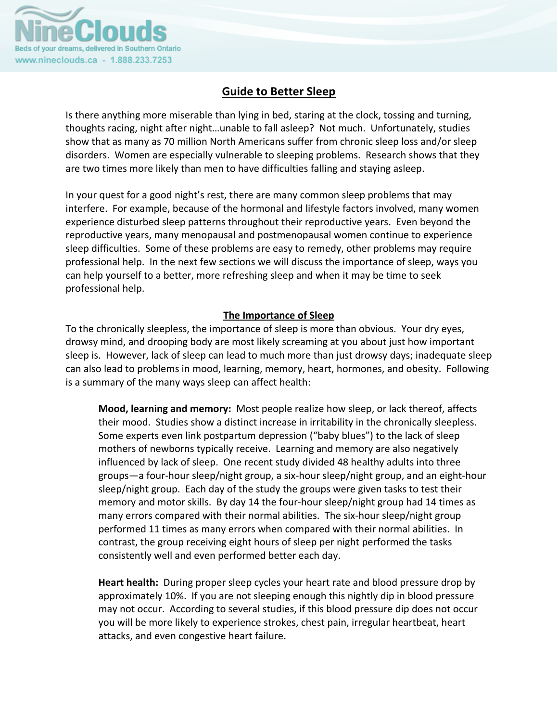

## **Guide to Better Sleep**

Is there anything more miserable than lying in bed, staring at the clock, tossing and turning, thoughts racing, night after night…unable to fall asleep? Not much. Unfortunately, studies show that as many as 70 million North Americans suffer from chronic sleep loss and/or sleep disorders. Women are especially vulnerable to sleeping problems. Research shows that they are two times more likely than men to have difficulties falling and staying asleep.

In your quest for a good night's rest, there are many common sleep problems that may interfere. For example, because of the hormonal and lifestyle factors involved, many women experience disturbed sleep patterns throughout their reproductive years. Even beyond the reproductive years, many menopausal and postmenopausal women continue to experience sleep difficulties. Some of these problems are easy to remedy, other problems may require professional help. In the next few sections we will discuss the importance of sleep, ways you can help yourself to a better, more refreshing sleep and when it may be time to seek professional help.

## **The Importance of Sleep**

To the chronically sleepless, the importance of sleep is more than obvious. Your dry eyes, drowsy mind, and drooping body are most likely screaming at you about just how important sleep is. However, lack of sleep can lead to much more than just drowsy days; inadequate sleep can also lead to problems in mood, learning, memory, heart, hormones, and obesity. Following is a summary of the many ways sleep can affect health:

**Mood, learning and memory:** Most people realize how sleep, or lack thereof, affects their mood. Studies show a distinct increase in irritability in the chronically sleepless. Some experts even link postpartum depression ("baby blues") to the lack of sleep mothers of newborns typically receive. Learning and memory are also negatively influenced by lack of sleep. One recent study divided 48 healthy adults into three groups—a four‐hour sleep/night group, a six‐hour sleep/night group, and an eight‐hour sleep/night group. Each day of the study the groups were given tasks to test their memory and motor skills. By day 14 the four-hour sleep/night group had 14 times as many errors compared with their normal abilities. The six-hour sleep/night group performed 11 times as many errors when compared with their normal abilities. In contrast, the group receiving eight hours of sleep per night performed the tasks consistently well and even performed better each day.

Heart health: During proper sleep cycles your heart rate and blood pressure drop by approximately 10%. If you are not sleeping enough this nightly dip in blood pressure may not occur. According to several studies, if this blood pressure dip does not occur you will be more likely to experience strokes, chest pain, irregular heartbeat, heart attacks, and even congestive heart failure.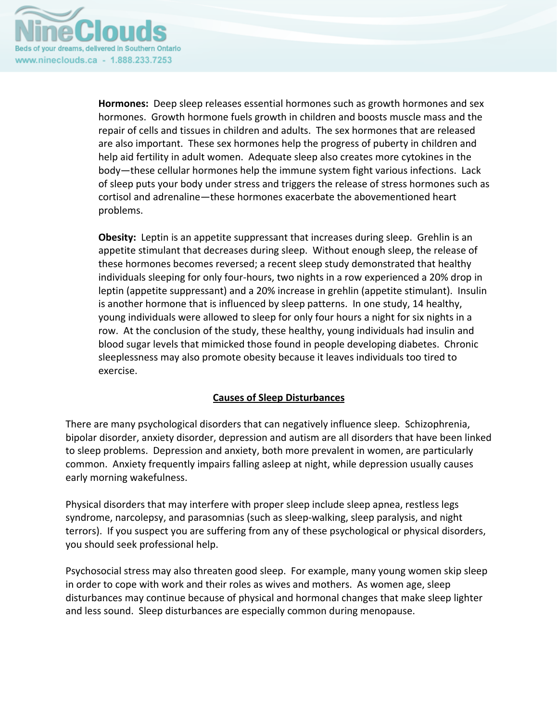

**Hormones:** Deep sleep releases essential hormones such as growth hormones and sex hormones. Growth hormone fuels growth in children and boosts muscle mass and the repair of cells and tissues in children and adults. The sex hormones that are released are also important. These sex hormones help the progress of puberty in children and help aid fertility in adult women. Adequate sleep also creates more cytokines in the body—these cellular hormones help the immune system fight various infections. Lack of sleep puts your body under stress and triggers the release of stress hormones such as cortisol and adrenaline—these hormones exacerbate the abovementioned heart problems.

**Obesity:** Leptin is an appetite suppressant that increases during sleep. Grehlin is an appetite stimulant that decreases during sleep. Without enough sleep, the release of these hormones becomes reversed; a recent sleep study demonstrated that healthy individuals sleeping for only four‐hours, two nights in a row experienced a 20% drop in leptin (appetite suppressant) and a 20% increase in grehlin (appetite stimulant). Insulin is another hormone that is influenced by sleep patterns. In one study, 14 healthy, young individuals were allowed to sleep for only four hours a night for six nights in a row. At the conclusion of the study, these healthy, young individuals had insulin and blood sugar levels that mimicked those found in people developing diabetes. Chronic sleeplessness may also promote obesity because it leaves individuals too tired to exercise.

## **Causes of Sleep Disturbances**

There are many psychological disorders that can negatively influence sleep. Schizophrenia, bipolar disorder, anxiety disorder, depression and autism are all disorders that have been linked to sleep problems. Depression and anxiety, both more prevalent in women, are particularly common. Anxiety frequently impairs falling asleep at night, while depression usually causes early morning wakefulness.

Physical disorders that may interfere with proper sleep include sleep apnea, restless legs syndrome, narcolepsy, and parasomnias (such as sleep‐walking, sleep paralysis, and night terrors). If you suspect you are suffering from any of these psychological or physical disorders, you should seek professional help.

Psychosocial stress may also threaten good sleep. For example, many young women skip sleep in order to cope with work and their roles as wives and mothers. As women age, sleep disturbances may continue because of physical and hormonal changes that make sleep lighter and less sound. Sleep disturbances are especially common during menopause.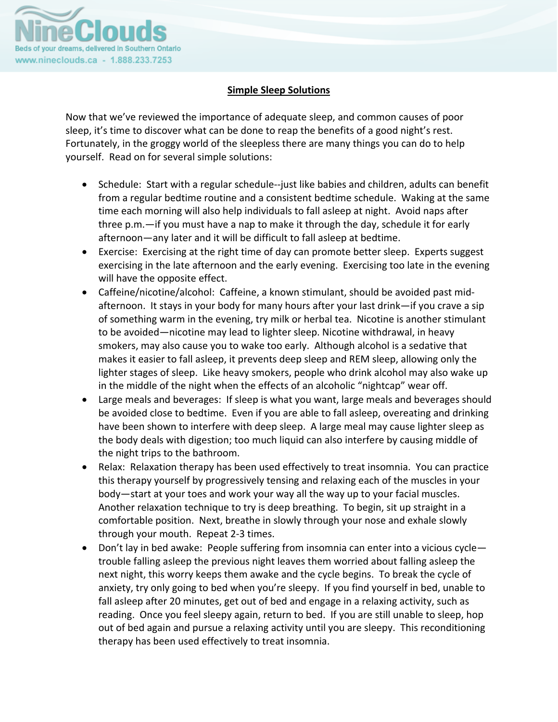

## **Simple Sleep Solutions**

Now that we've reviewed the importance of adequate sleep, and common causes of poor sleep, it's time to discover what can be done to reap the benefits of a good night's rest. Fortunately, in the groggy world of the sleepless there are many things you can do to help yourself. Read on for several simple solutions:

- Schedule: Start with a regular schedule‐‐just like babies and children, adults can benefit from a regular bedtime routine and a consistent bedtime schedule. Waking at the same time each morning will also help individuals to fall asleep at night. Avoid naps after three p.m.—if you must have a nap to make it through the day, schedule it for early afternoon—any later and it will be difficult to fall asleep at bedtime.
- Exercise: Exercising at the right time of day can promote better sleep. Experts suggest exercising in the late afternoon and the early evening. Exercising too late in the evening will have the opposite effect.
- Caffeine/nicotine/alcohol: Caffeine, a known stimulant, should be avoided past midafternoon. It stays in your body for many hours after your last drink—if you crave a sip of something warm in the evening, try milk or herbal tea. Nicotine is another stimulant to be avoided—nicotine may lead to lighter sleep. Nicotine withdrawal, in heavy smokers, may also cause you to wake too early. Although alcohol is a sedative that makes it easier to fall asleep, it prevents deep sleep and REM sleep, allowing only the lighter stages of sleep. Like heavy smokers, people who drink alcohol may also wake up in the middle of the night when the effects of an alcoholic "nightcap" wear off.
- Large meals and beverages: If sleep is what you want, large meals and beverages should be avoided close to bedtime. Even if you are able to fall asleep, overeating and drinking have been shown to interfere with deep sleep. A large meal may cause lighter sleep as the body deals with digestion; too much liquid can also interfere by causing middle of the night trips to the bathroom.
- Relax: Relaxation therapy has been used effectively to treat insomnia. You can practice this therapy yourself by progressively tensing and relaxing each of the muscles in your body—start at your toes and work your way all the way up to your facial muscles. Another relaxation technique to try is deep breathing. To begin, sit up straight in a comfortable position. Next, breathe in slowly through your nose and exhale slowly through your mouth. Repeat 2‐3 times.
- Don't lay in bed awake: People suffering from insomnia can enter into a vicious cycle trouble falling asleep the previous night leaves them worried about falling asleep the next night, this worry keeps them awake and the cycle begins. To break the cycle of anxiety, try only going to bed when you're sleepy. If you find yourself in bed, unable to fall asleep after 20 minutes, get out of bed and engage in a relaxing activity, such as reading. Once you feel sleepy again, return to bed. If you are still unable to sleep, hop out of bed again and pursue a relaxing activity until you are sleepy. This reconditioning therapy has been used effectively to treat insomnia.